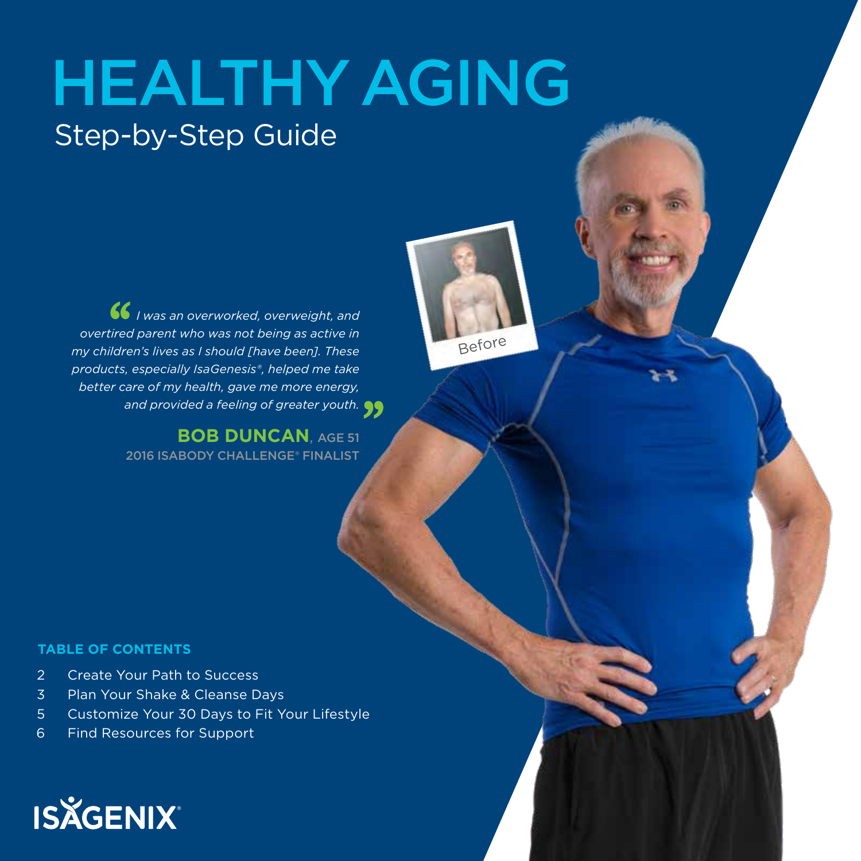# Step-by-Step Guide HEALTHY AGING

*I was an overworked, overweight, and overtired parent who was not being as active in my children's lives as I should [have been]. These products, especially IsaGenesis®, helped me take better care of my health, gave me more energy, and provided a feeling of greater youth.*

> **BOB DUNCAN**, AGE 51 2016 ISABODY CHALLENGE® FINALIST

Before

### **TABLE OF CONTENTS**

- 2 Create Your Path to Success
- 3 Plan Your Shake & Cleanse Days
- 5 Customize Your 30 Days to Fit Your Lifestyle
- 6 Find Resources for Support

# **ISÄGENIX**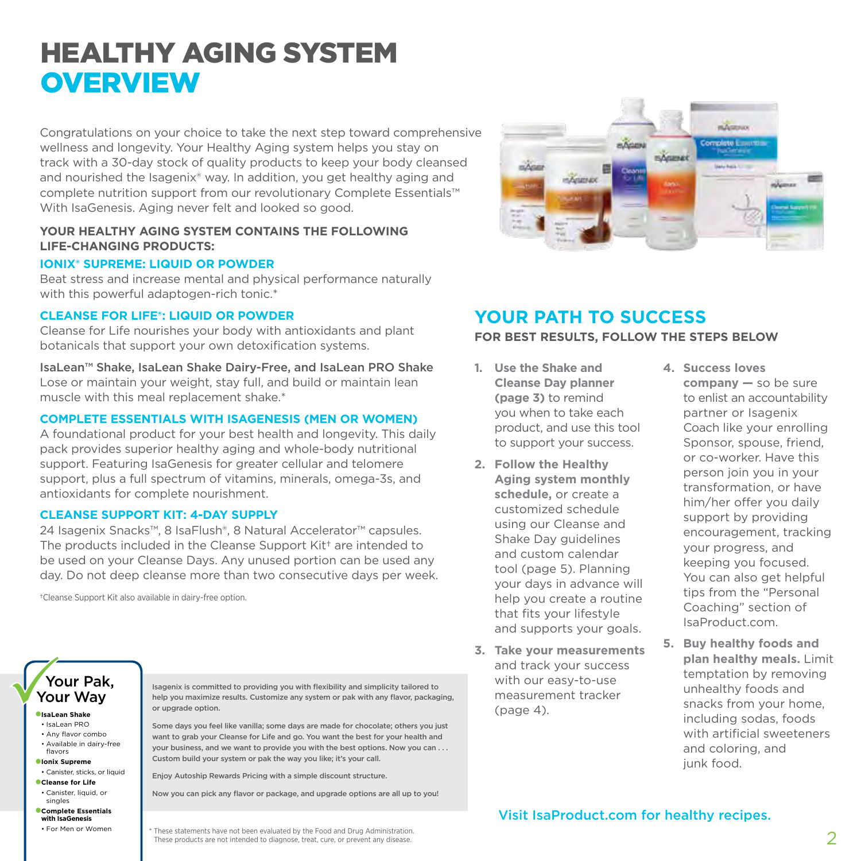# HEALTHY AGING SYSTEM **OVERVIEW**

Congratulations on your choice to take the next step toward comprehensive wellness and longevity. Your Healthy Aging system helps you stay on track with a 30-day stock of quality products to keep your body cleansed and nourished the Isagenix® way. In addition, you get healthy aging and complete nutrition support from our revolutionary Complete Essentials™ With IsaGenesis. Aging never felt and looked so good.

#### **YOUR HEALTHY AGING SYSTEM CONTAINS THE FOLLOWING LIFE-CHANGING PRODUCTS:**

#### **IONIX® SUPREME: LIQUID OR POWDER**

Beat stress and increase mental and physical performance naturally with this powerful adaptogen-rich tonic.\*

#### **CLEANSE FOR LIFE®: LIQUID OR POWDER**

Cleanse for Life nourishes your body with antioxidants and plant botanicals that support your own detoxification systems.

IsaLean™ Shake, IsaLean Shake Dairy-Free, and IsaLean PRO Shake Lose or maintain your weight, stay full, and build or maintain lean muscle with this meal replacement shake.\*

#### **COMPLETE ESSENTIALS WITH ISAGENESIS (MEN OR WOMEN)**

A foundational product for your best health and longevity. This daily pack provides superior healthy aging and whole-body nutritional support. Featuring IsaGenesis for greater cellular and telomere support, plus a full spectrum of vitamins, minerals, omega-3s, and antioxidants for complete nourishment.

#### **CLEANSE SUPPORT KIT: 4-DAY SUPPLY**

24 Isagenix Snacks™, 8 IsaFlush®, 8 Natural Accelerator™ capsules. The products included in the Cleanse Support Kit† are intended to be used on your Cleanse Days. Any unused portion can be used any day. Do not deep cleanse more than two consecutive days per week.

†Cleanse Support Kit also available in dairy-free option.



flavors **•Ionix Supreme**

• Canister, sticks, or liquid **•Cleanse for Life** • Canister, liquid, or

singles **•Complete Essentials** 

**with IsaGenesis**

• For Men or Women

Isagenix is committed to providing you with flexibility and simplicity tailored to help you maximize results. Customize any system or pak with any flavor, packaging, or upgrade option.

Some days you feel like vanilla; some days are made for chocolate; others you just want to grab your Cleanse for Life and go. You want the best for your health and your business, and we want to provide you with the best options. Now you can . . . Custom build your system or pak the way you like; it's your call.

Enjoy Autoship Rewards Pricing with a simple discount structure.

Now you can pick any flavor or package, and upgrade options are all up to you!



# **YOUR PATH TO SUCCESS**

**FOR BEST RESULTS, FOLLOW THE STEPS BELOW**

- **1. Use the Shake and Cleanse Day planner (page 3)** to remind you when to take each product, and use this tool to support your success.
- **2. Follow the Healthy Aging system monthly schedule,** or create a customized schedule using our Cleanse and Shake Day guidelines and custom calendar tool (page 5). Planning your days in advance will help you create a routine that fits your lifestyle and supports your goals.
- **3. Take your measurements** and track your success with our easy-to-use measurement tracker (page 4).
- **4. Success loves company —** so be sure to enlist an accountability partner or Isagenix Coach like your enrolling Sponsor, spouse, friend, or co-worker. Have this person join you in your transformation, or have him/her offer you daily support by providing encouragement, tracking your progress, and keeping you focused. You can also get helpful tips from the "Personal Coaching" section of IsaProduct.com.
- **5. Buy healthy foods and plan healthy meals.** Limit temptation by removing unhealthy foods and snacks from your home, including sodas, foods with artificial sweeteners and coloring, and junk food.

#### Visit IsaProduct.com for healthy recipes.

\* These statements have not been evaluated by the Food and Drug Administration. These products are not intended to diagnose, treat, cure, or prevent any disease.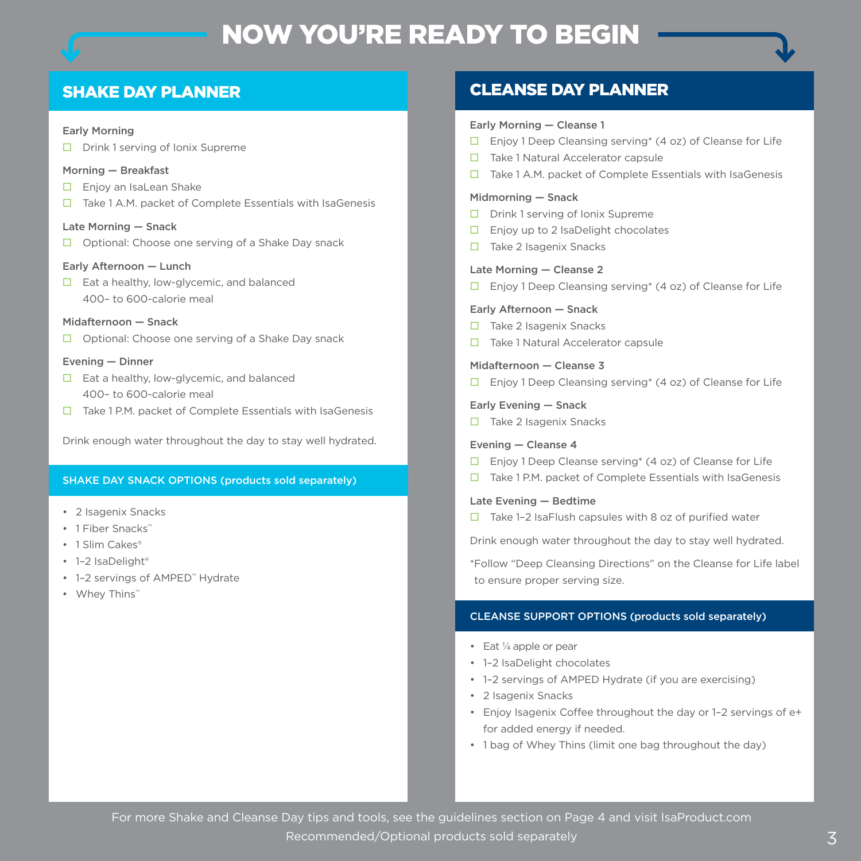# NOW YOU'RE READY TO BEGIN

# SHAKE DAY PLANNER

#### Early Morning

 $\Box$  Drink 1 serving of Ionix Supreme

#### Morning — Breakfast

- $\square$  Enjoy an IsaLean Shake
- $\square$  Take 1 A.M. packet of Complete Essentials with IsaGenesis

#### Late Morning — Snack

 $\Box$  Optional: Choose one serving of a Shake Day snack

#### Early Afternoon — Lunch

 $\Box$  Eat a healthy, low-glycemic, and balanced 400– to 600-calorie meal

#### Midafternoon — Snack

 $\Box$  Optional: Choose one serving of a Shake Day snack

#### Evening — Dinner

- $\Box$  Eat a healthy, low-glycemic, and balanced 400– to 600-calorie meal
- $\square$  Take 1 P.M. packet of Complete Essentials with IsaGenesis

Drink enough water throughout the day to stay well hydrated.

#### SHAKE DAY SNACK OPTIONS (products sold separately)

- 2 Isagenix Snacks
- 1 Fiber Snacks™
- 1 Slim Cakes®
- 1-2 IsaDelight®
- 1–2 servings of AMPED™ Hydrate
- Whey Thins™

## CLEANSE DAY PLANNER

#### Early Morning — Cleanse 1

- $\Box$  Enjoy 1 Deep Cleansing serving<sup>\*</sup> (4 oz) of Cleanse for Life
- $\Box$  Take 1 Natural Accelerator capsule
- $\square$  Take 1 A.M. packet of Complete Essentials with IsaGenesis

#### Midmorning — Snack

- $\Box$  Drink 1 serving of Ionix Supreme
- $\Box$  Enjoy up to 2 IsaDelight chocolates
- $\Box$  Take 2 Isagenix Snacks

#### Late Morning — Cleanse 2

 $\Box$  Enjoy 1 Deep Cleansing serving\* (4 oz) of Cleanse for Life

#### Early Afternoon — Snack

- $\Box$  Take 2 Isagenix Snacks
- $\Box$  Take 1 Natural Accelerator capsule

#### Midafternoon — Cleanse 3

 $\Box$  Enjoy 1 Deep Cleansing serving\* (4 oz) of Cleanse for Life

#### Early Evening — Snack

 $\Box$  Take 2 Isagenix Snacks

#### Evening — Cleanse 4

- $\Box$  Enjoy 1 Deep Cleanse serving<sup>\*</sup> (4 oz) of Cleanse for Life
- $\square$  Take 1 P.M. packet of Complete Essentials with IsaGenesis

#### Late Evening — Bedtime

 $\Box$  Take 1-2 IsaFlush capsules with 8 oz of purified water

Drink enough water throughout the day to stay well hydrated.

\*Follow "Deep Cleansing Directions" on the Cleanse for Life label to ensure proper serving size.

#### CLEANSE SUPPORT OPTIONS (products sold separately)

- Eat ¼ apple or pear
- 1–2 IsaDelight chocolates
- 1–2 servings of AMPED Hydrate (if you are exercising)
- 2 Isagenix Snacks
- Enjoy Isagenix Coffee throughout the day or 1–2 servings of e+ for added energy if needed.
- 1 bag of Whey Thins (limit one bag throughout the day)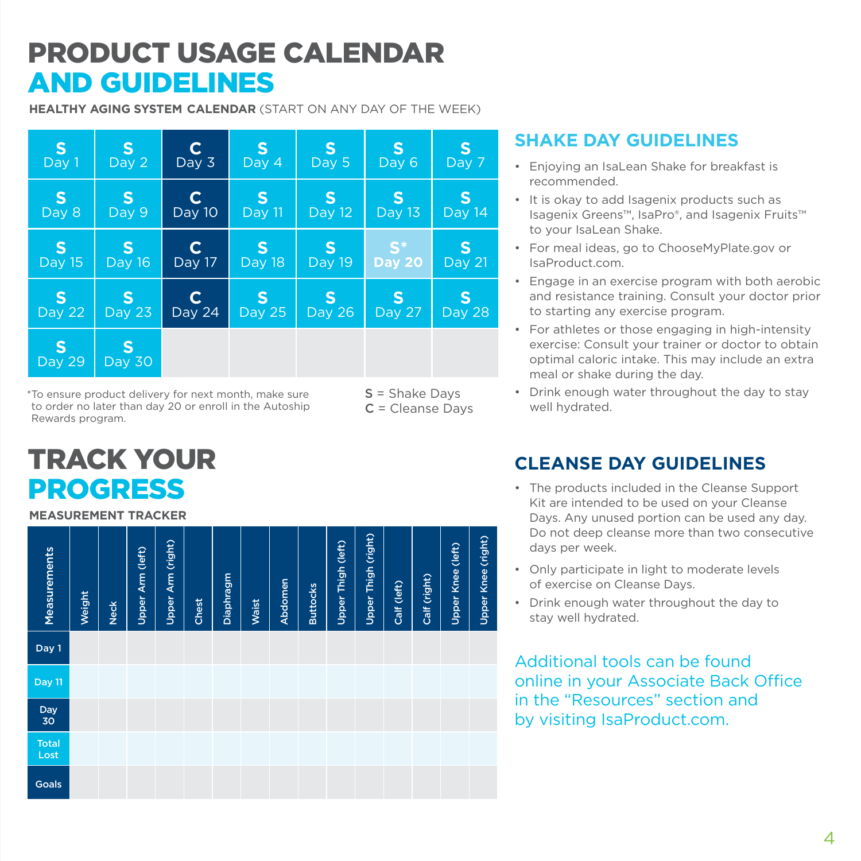# PRODUCT USAGE CALENDAR AND GUIDELINES

**HEALTHY AGING SYSTEM CALENDAR** (START ON ANY DAY OF THE WEEK)

| $\mathsf{s}$                  | S.                          | $\mathbf C$         | S             | -S            | S             | S             |
|-------------------------------|-----------------------------|---------------------|---------------|---------------|---------------|---------------|
| Day 1                         | Day 2                       | Day 3               | Day $4$       | Day $5$       | Day 6         | Day 7         |
| $\mathsf{S}$                  | S                           | C                   | S             | <b>S</b>      | S             | S             |
| $\overline{\mathsf{Day}}$ $8$ | $\overline{\mathsf{Day}}$ 9 | Day 10              | Day 11        | Day 12        | Day 13        | Day 14        |
| $\mathbf S$                   | S                           | $\mathbf C$         | $\mathbf S$   | S             | $S^*$         | S             |
| <b>Day 15</b>                 | <b>Day 16</b>               | Day 17              | Day 18        | Day 19        | Day 20        | Day 21        |
| $\mathsf{S}$                  | S.                          | C                   | S             | 'S            | S             | S             |
| $\overline{$ Day 22           | <b>Day 23</b>               | $\overline{$ Day 24 | <b>Day 25</b> | <b>Day 26</b> | <b>Day 27</b> | <b>Day 28</b> |
| S<br><b>Day 29</b>            | S<br>Day 30                 |                     |               |               |               |               |

\*To ensure product delivery for next month, make sure to order no later than day 20 or enroll in the Autoship Rewards program.

- $S = Shake$  Davs
- C = Cleanse Days

# TRACK YOUR PROGRESS

**MEASUREMENT TRACKER**

| Measurements         | Weight | <b>Neck</b> | Upper Arm (left) | Upper Arm (right) | Chest | Diaphragm | Waist | Abdomen | <b>Buttocks</b> | Upper Thigh (left) | Upper Thigh (right) | Calf (left) | Calf (right) | $(\text{left})$<br><b>Upper Knee</b> | Upper Knee (right) |
|----------------------|--------|-------------|------------------|-------------------|-------|-----------|-------|---------|-----------------|--------------------|---------------------|-------------|--------------|--------------------------------------|--------------------|
| Day 1                |        |             |                  |                   |       |           |       |         |                 |                    |                     |             |              |                                      |                    |
| Day 11               |        |             |                  |                   |       |           |       |         |                 |                    |                     |             |              |                                      |                    |
| Day<br>30            |        |             |                  |                   |       |           |       |         |                 |                    |                     |             |              |                                      |                    |
| <b>Total</b><br>Lost |        |             |                  |                   |       |           |       |         |                 |                    |                     |             |              |                                      |                    |
| Goals                |        |             |                  |                   |       |           |       |         |                 |                    |                     |             |              |                                      |                    |

# **SHAKE DAY GUIDELINES**

- Enjoying an IsaLean Shake for breakfast is recommended.
- It is okay to add Isagenix products such as Isagenix Greens™, IsaPro®, and Isagenix Fruits™ to your IsaLean Shake.
- For meal ideas, go to ChooseMyPlate.gov or IsaProduct.com.
- Engage in an exercise program with both aerobic and resistance training. Consult your doctor prior to starting any exercise program.
- For athletes or those engaging in high-intensity exercise: Consult your trainer or doctor to obtain optimal caloric intake. This may include an extra meal or shake during the day.
- Drink enough water throughout the day to stay well hydrated.

# **CLEANSE DAY GUIDELINES**

- The products included in the Cleanse Support Kit are intended to be used on your Cleanse Days. Any unused portion can be used any day. Do not deep cleanse more than two consecutive days per week.
- Only participate in light to moderate levels of exercise on Cleanse Days.
- Drink enough water throughout the day to stay well hydrated.

Additional tools can be found online in your Associate Back Office in the "Resources" section and by visiting IsaProduct.com.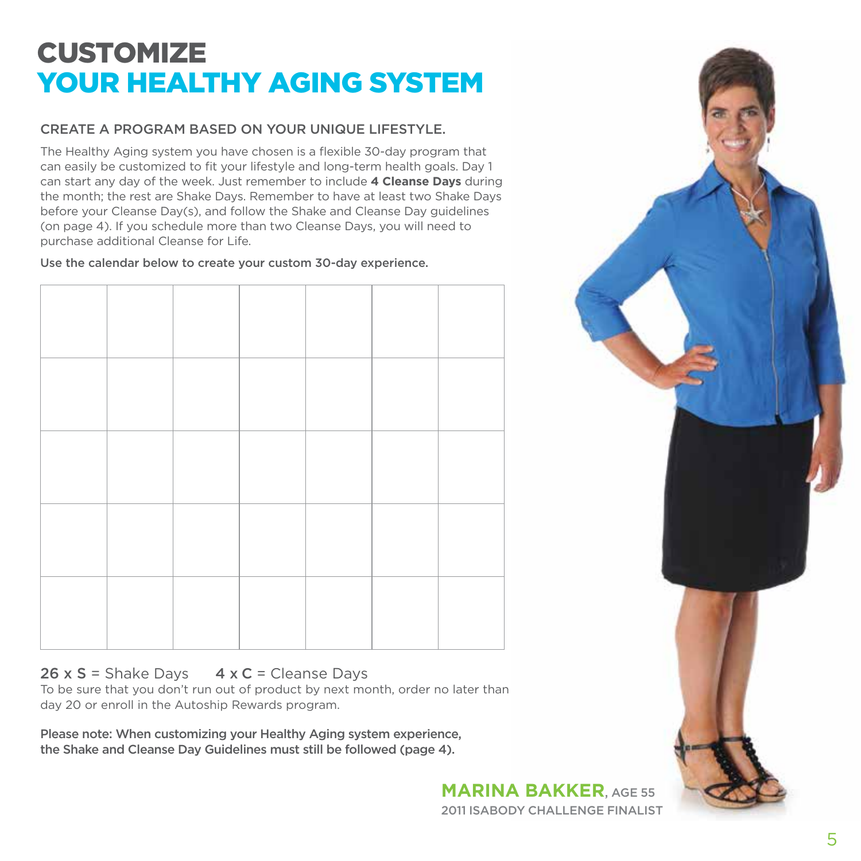# **CUSTOMIZE** YOUR HEALTHY AGING SYSTEM

## CREATE A PROGRAM BASED ON YOUR UNIQUE LIFESTYLE.

The Healthy Aging system you have chosen is a flexible 30-day program that can easily be customized to fit your lifestyle and long-term health goals. Day 1 can start any day of the week. Just remember to include **4 Cleanse Days** during the month; the rest are Shake Days. Remember to have at least two Shake Days before your Cleanse Day(s), and follow the Shake and Cleanse Day guidelines (on page 4). If you schedule more than two Cleanse Days, you will need to purchase additional Cleanse for Life.

Use the calendar below to create your custom 30-day experience.

### 26  $x$  S = Shake Days  $4 \times C$  = Cleanse Days

To be sure that you don't run out of product by next month, order no later than day 20 or enroll in the Autoship Rewards program.

Please note: When customizing your Healthy Aging system experience, the Shake and Cleanse Day Guidelines must still be followed (page 4).

> **MARINA BAKKER**, AGE 55 2011 ISABODY CHALLENGE FINALIST